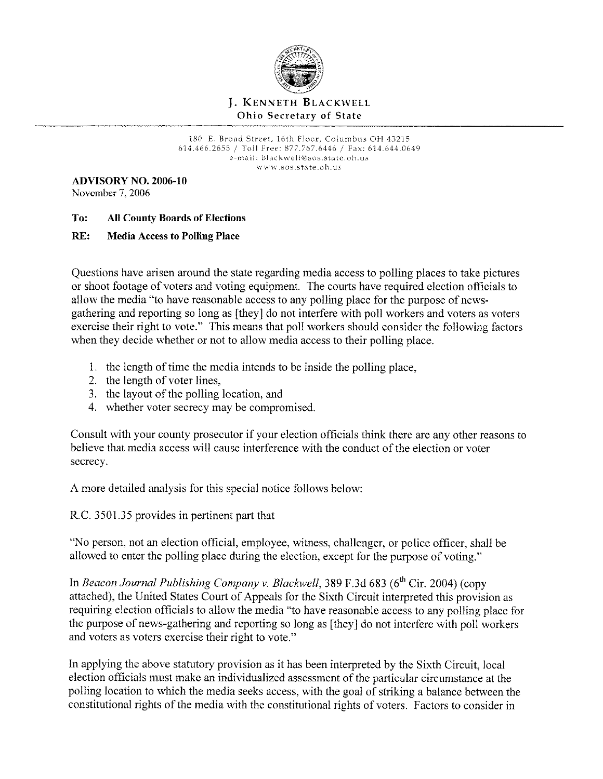

# **J.** KENNETH BLACKWELL Ohio Secretary of State

180 E. Broad Street, 16th Floor, Columbus OH 43215 614.466.2655 / Toll free: 877.767.6446 / Fax: 614.644.0649 e-mail: blackwell@sos.state.oh.us w ww. sos.state. oh.us

**ADVISORY NO. 2006-10**  November 7, 2006

# **To: All County Boards of Elections**

# **RE: Media Access to Polling Place**

Questions have arisen around the state regarding media access to polling places to take pictures or shoot footage of voters and voting equipment. The courts have required election officials to allow the media "to have reasonable access to any polling place for the purpose of newsgathering and reporting so long as [they] do not interfere with poll workers and voters as voters exercise their right to vote." This means that poll workers should consider the following factors when they decide whether or not to allow media access to their polling place.

- l. the length of time the media intends to be inside the polling place,
- 2. the length of voter lines,
- 3. the layout of the polling location, and
- 4. whether voter secrecy may be compromised.

Consult with your county prosecutor if your election officials think there are any other reasons to believe that media access will cause interference with the conduct of the election or voter secrecy.

A more detailed analysis for this special notice follows below:

R.C. 3501.35 provides in pertinent part that

"No person, not an election official, employee, witness, challenger, or police officer, shall be allowed to enter the polling place during the election, except for the purpose of voting."

In *Beacon Journal Publishing Company v. Blackwell*, 389 F.3d 683 (6<sup>th</sup> Cir. 2004) (copy attached), the United States Court of Appeals for the Sixth Circuit interpreted this provision as requiring election officials to allow the media "to have reasonable access to any polling place for the purpose of news-gathering and reporting so long as [they] do not interfere with poll workers and voters as voters exercise their right to vote."

In applying the above statutory provision as it has been interpreted by the Sixth Circuit, local election officials must make an individualized assessment of the particular circumstance at the polling location to which the media seeks access, with the goal of striking a balance between the constitutional rights of the media with the constitutional rights of voters. Factors to consider in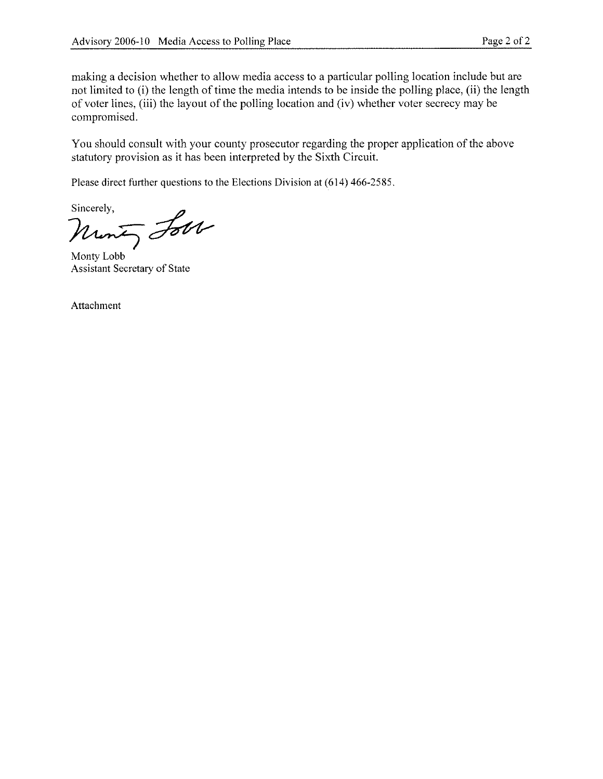making a decision whether to allow media access to a particular polling location include but are not limited to (i) the length of time the media intends to be inside the polling place, (ii) the length of voter lines, (iii) the layout of the polling location and (iv) whether voter secrecy may be compromised.

You should consult with your county prosecutor regarding the proper application of the above statutory provision as it has been interpreted by the Sixth Circuit.

Please direct further questions to the Elections Division at (614) 466-2585.

Sincerely,<br>Munt, Lobb del

Assistant Secretary of State

Attachment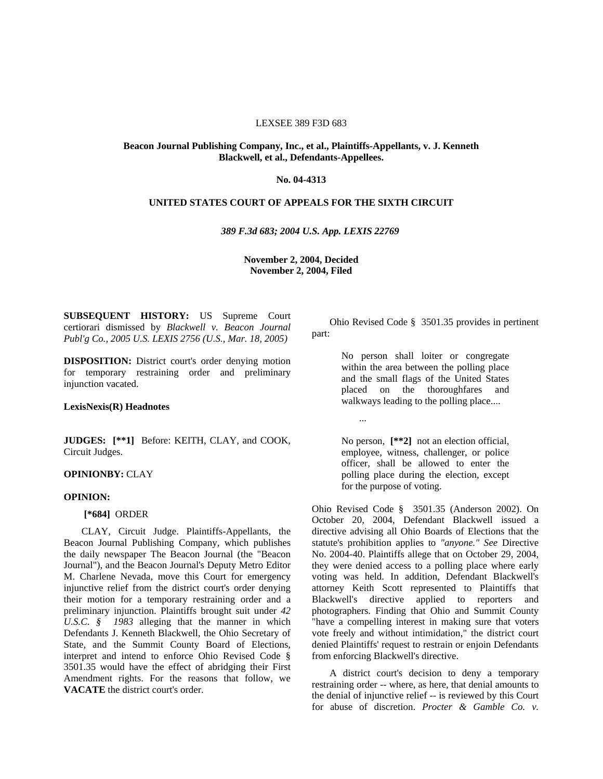### LEXSEE 389 F3D 683

## **Beacon Journal Publishing Company, Inc., et al., Plaintiffs-Appellants, v. J. Kenneth Blackwell, et al., Defendants-Appellees.**

## **No. 04-4313**

## **UNITED STATES COURT OF APPEALS FOR THE SIXTH CIRCUIT**

### *389 F.3d 683; 2004 U.S. App. LEXIS 22769*

## **November 2, 2004, Decided November 2, 2004, Filed**

**SUBSEQUENT HISTORY:** US Supreme Court certiorari dismissed by *Blackwell v. Beacon Journal Publ'g Co., 2005 U.S. LEXIS 2756 (U.S., Mar. 18, 2005)* 

**DISPOSITION:** District court's order denying motion for temporary restraining order and preliminary injunction vacated.

## **LexisNexis(R) Headnotes**

**JUDGES: [\*\*1]** Before: KEITH, CLAY, and COOK, Circuit Judges.

## **OPINIONBY:** CLAY

## **OPINION:**

### **[\*684]** ORDER

interpret and intend to enforce Ohio Revised Code § CLAY, Circuit Judge. Plaintiffs-Appellants, the Beacon Journal Publishing Company, which publishes the daily newspaper The Beacon Journal (the "Beacon Journal"), and the Beacon Journal's Deputy Metro Editor M. Charlene Nevada, move this Court for emergency injunctive relief from the district court's order denying their motion for a temporary restraining order and a preliminary injunction. Plaintiffs brought suit under *42 U.S.C. § 1983* alleging that the manner in which Defendants J. Kenneth Blackwell, the Ohio Secretary of State, and the Summit County Board of Elections, 3501.35 would have the effect of abridging their First Amendment rights. For the reasons that follow, we **VACATE** the district court's order.

 Ohio Revised Code § 3501.35 provides in pertinent part:

> No person shall loiter or congregate within the area between the polling place and the small flags of the United States placed on the thoroughfares and walkways leading to the polling place....

> > ...

 for the purpose of voting. No person, **[\*\*2]** not an election official, employee, witness, challenger, or police officer, shall be allowed to enter the polling place during the election, except

 Ohio Revised Code § 3501.35 (Anderson 2002). On voting was held. In addition, Defendant Blackwell's October 20, 2004, Defendant Blackwell issued a directive advising all Ohio Boards of Elections that the statute's prohibition applies to *"anyone." See* Directive No. 2004-40. Plaintiffs allege that on October 29, 2004, they were denied access to a polling place where early attorney Keith Scott represented to Plaintiffs that Blackwell's directive applied to reporters and photographers. Finding that Ohio and Summit County "have a compelling interest in making sure that voters vote freely and without intimidation," the district court denied Plaintiffs' request to restrain or enjoin Defendants from enforcing Blackwell's directive.

A district court's decision to deny a temporary restraining order -- where, as here, that denial amounts to the denial of injunctive relief -- is reviewed by this Court for abuse of discretion. *Procter & Gamble Co. v.*